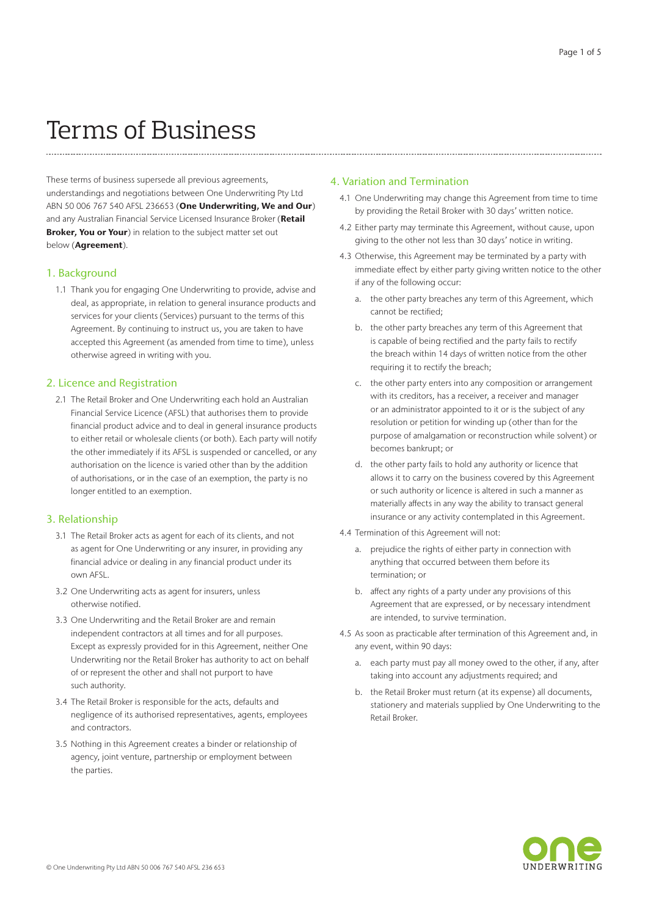# Terms of Business

These terms of business supersede all previous agreements, understandings and negotiations between One Underwriting Pty Ltd ABN 50 006 767 540 AFSL 236653 (One Underwriting, We and Our) and any Australian Financial Service Licensed Insurance Broker (Retail Broker, You or Your) in relation to the subject matter set out below (Agreement).

#### 1. Background

1.1 Thank you for engaging One Underwriting to provide, advise and deal, as appropriate, in relation to general insurance products and services for your clients (Services) pursuant to the terms of this Agreement. By continuing to instruct us, you are taken to have accepted this Agreement (as amended from time to time), unless otherwise agreed in writing with you.

#### 2. Licence and Registration

2.1 The Retail Broker and One Underwriting each hold an Australian Financial Service Licence (AFSL) that authorises them to provide financial product advice and to deal in general insurance products to either retail or wholesale clients (or both). Each party will notify the other immediately if its AFSL is suspended or cancelled, or any authorisation on the licence is varied other than by the addition of authorisations, or in the case of an exemption, the party is no longer entitled to an exemption.

## 3. Relationship

- 3.1 The Retail Broker acts as agent for each of its clients, and not as agent for One Underwriting or any insurer, in providing any financial advice or dealing in any financial product under its own AFSL.
- 3.2 One Underwriting acts as agent for insurers, unless otherwise notified.
- 3.3 One Underwriting and the Retail Broker are and remain independent contractors at all times and for all purposes. Except as expressly provided for in this Agreement, neither One Underwriting nor the Retail Broker has authority to act on behalf of or represent the other and shall not purport to have such authority.
- 3.4 The Retail Broker is responsible for the acts, defaults and negligence of its authorised representatives, agents, employees and contractors.
- 3.5 Nothing in this Agreement creates a binder or relationship of agency, joint venture, partnership or employment between the parties.

## 4. Variation and Termination

- 4.1 One Underwriting may change this Agreement from time to time by providing the Retail Broker with 30 days' written notice.
- 4.2 Either party may terminate this Agreement, without cause, upon giving to the other not less than 30 days' notice in writing.
- 4.3 Otherwise, this Agreement may be terminated by a party with immediate effect by either party giving written notice to the other if any of the following occur:
	- a. the other party breaches any term of this Agreement, which cannot be rectified;
	- b. the other party breaches any term of this Agreement that is capable of being rectified and the party fails to rectify the breach within 14 days of written notice from the other requiring it to rectify the breach;
	- c. the other party enters into any composition or arrangement with its creditors, has a receiver, a receiver and manager or an administrator appointed to it or is the subject of any resolution or petition for winding up (other than for the purpose of amalgamation or reconstruction while solvent) or becomes bankrupt; or
	- d. the other party fails to hold any authority or licence that allows it to carry on the business covered by this Agreement or such authority or licence is altered in such a manner as materially affects in any way the ability to transact general insurance or any activity contemplated in this Agreement.
- 4.4 Termination of this Agreement will not:
	- a. prejudice the rights of either party in connection with anything that occurred between them before its termination; or
	- b. affect any rights of a party under any provisions of this Agreement that are expressed, or by necessary intendment are intended, to survive termination.
- 4.5 As soon as practicable after termination of this Agreement and, in any event, within 90 days:
	- a. each party must pay all money owed to the other, if any, after taking into account any adjustments required; and
	- b. the Retail Broker must return (at its expense) all documents, stationery and materials supplied by One Underwriting to the Retail Broker.

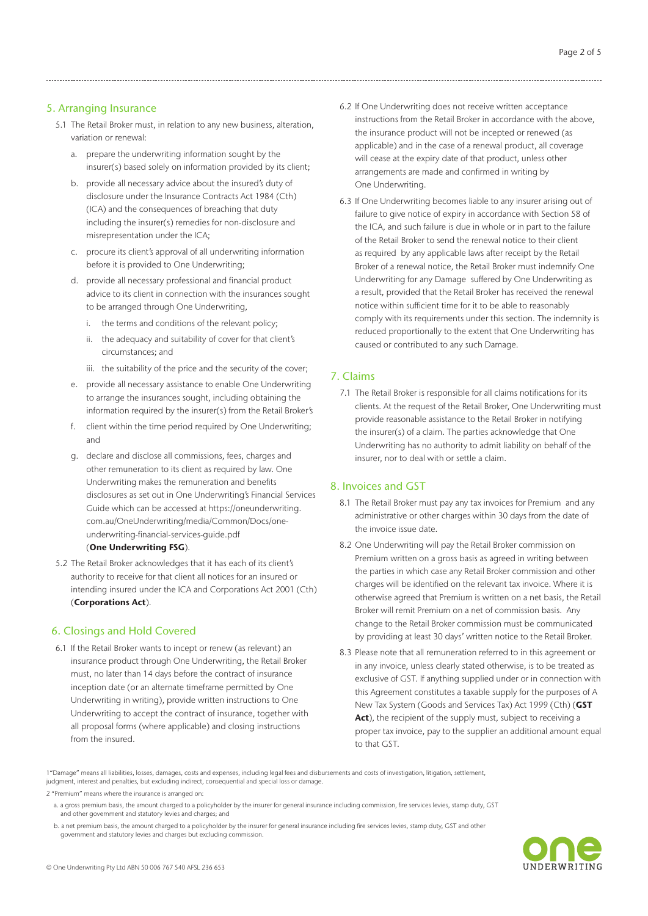# 5. Arranging Insurance

- 5.1 The Retail Broker must, in relation to any new business, alteration, variation or renewal:
	- a. prepare the underwriting information sought by the insurer(s) based solely on information provided by its client;
	- b. provide all necessary advice about the insured's duty of disclosure under the Insurance Contracts Act 1984 (Cth) (ICA) and the consequences of breaching that duty including the insurer(s) remedies for non-disclosure and misrepresentation under the ICA;
	- c. procure its client's approval of all underwriting information before it is provided to One Underwriting;
	- d. provide all necessary professional and financial product advice to its client in connection with the insurances sought to be arranged through One Underwriting,
		- i. the terms and conditions of the relevant policy;
		- ii. the adequacy and suitability of cover for that client's circumstances; and
		- iii. the suitability of the price and the security of the cover;
	- e. provide all necessary assistance to enable One Underwriting to arrange the insurances sought, including obtaining the information required by the insurer(s) from the Retail Broker's
	- f. client within the time period required by One Underwriting; and
	- g. declare and disclose all commissions, fees, charges and other remuneration to its client as required by law. One Underwriting makes the remuneration and benefits disclosures as set out in One Underwriting's Financial Services Guide which can be accessed at https://oneunderwriting. com.au/OneUnderwriting/media/Common/Docs/oneunderwriting-financial-services-guide.pdf (One Underwriting FSG).
- 5.2 The Retail Broker acknowledges that it has each of its client's authority to receive for that client all notices for an insured or intending insured under the ICA and Corporations Act 2001 (Cth) (Corporations Act).

# 6. Closings and Hold Covered

6.1 If the Retail Broker wants to incept or renew (as relevant) an insurance product through One Underwriting, the Retail Broker must, no later than 14 days before the contract of insurance inception date (or an alternate timeframe permitted by One Underwriting in writing), provide written instructions to One Underwriting to accept the contract of insurance, together with all proposal forms (where applicable) and closing instructions from the insured.

- 6.2 If One Underwriting does not receive written acceptance instructions from the Retail Broker in accordance with the above, the insurance product will not be incepted or renewed (as applicable) and in the case of a renewal product, all coverage will cease at the expiry date of that product, unless other arrangements are made and confirmed in writing by One Underwriting.
- 6.3 If One Underwriting becomes liable to any insurer arising out of failure to give notice of expiry in accordance with Section 58 of the ICA, and such failure is due in whole or in part to the failure of the Retail Broker to send the renewal notice to their client as required by any applicable laws after receipt by the Retail Broker of a renewal notice, the Retail Broker must indemnify One Underwriting for any Damage suffered by One Underwriting as a result, provided that the Retail Broker has received the renewal notice within sufficient time for it to be able to reasonably comply with its requirements under this section. The indemnity is reduced proportionally to the extent that One Underwriting has caused or contributed to any such Damage.

# 7. Claims

7.1 The Retail Broker is responsible for all claims notifications for its clients. At the request of the Retail Broker, One Underwriting must provide reasonable assistance to the Retail Broker in notifying the insurer(s) of a claim. The parties acknowledge that One Underwriting has no authority to admit liability on behalf of the insurer, nor to deal with or settle a claim.

## 8. Invoices and GST

- 8.1 The Retail Broker must pay any tax invoices for Premium and any administrative or other charges within 30 days from the date of the invoice issue date.
- 8.2 One Underwriting will pay the Retail Broker commission on Premium written on a gross basis as agreed in writing between the parties in which case any Retail Broker commission and other charges will be identified on the relevant tax invoice. Where it is otherwise agreed that Premium is written on a net basis, the Retail Broker will remit Premium on a net of commission basis. Any change to the Retail Broker commission must be communicated by providing at least 30 days' written notice to the Retail Broker.
- 8.3 Please note that all remuneration referred to in this agreement or in any invoice, unless clearly stated otherwise, is to be treated as exclusive of GST. If anything supplied under or in connection with this Agreement constitutes a taxable supply for the purposes of A New Tax System (Goods and Services Tax) Act 1999 (Cth) (GST Act), the recipient of the supply must, subject to receiving a proper tax invoice, pay to the supplier an additional amount equal to that GST.

1"Damage" means all liabilities, losses, damages, costs and expenses, including legal fees and disbursements and costs of investigation, litigation, settlement, judgment, interest and penalties, but excluding indirect, consequential and special loss or damage.

2 "Premium" means where the insurance is arranged on:

b. a net premium basis, the amount charged to a policyholder by the insurer for general insurance including fire services levies, stamp duty, GST and other government and statutory levies and charges but excluding commission.



a. a gross premium basis, the amount charged to a policyholder by the insurer for general insurance including commission, fire services levies, stamp duty, GST and other government and statutory levies and charges; and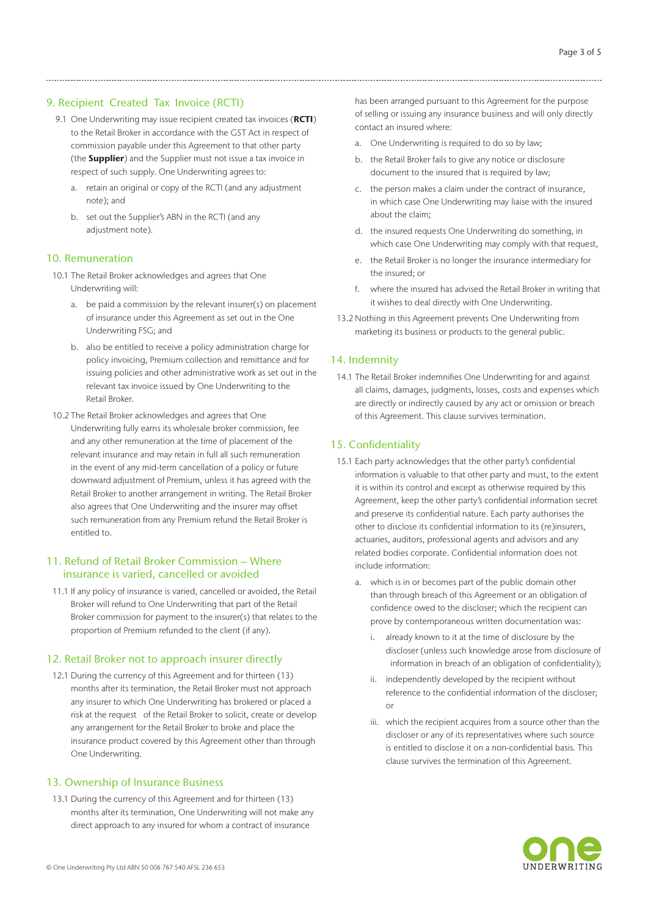## 9. Recipient Created Tax Invoice (RCTI)

- 9.1 One Underwriting may issue recipient created tax invoices (RCTI) to the Retail Broker in accordance with the GST Act in respect of commission payable under this Agreement to that other party (the **Supplier**) and the Supplier must not issue a tax invoice in respect of such supply. One Underwriting agrees to:
	- a. retain an original or copy of the RCTI (and any adjustment note); and
	- b. set out the Supplier's ABN in the RCTI (and any adjustment note).

#### 10. Remuneration

- 10.1 The Retail Broker acknowledges and agrees that One Underwriting will:
	- a. be paid a commission by the relevant insurer(s) on placement of insurance under this Agreement as set out in the One Underwriting FSG; and
	- b. also be entitled to receive a policy administration charge for policy invoicing, Premium collection and remittance and for issuing policies and other administrative work as set out in the relevant tax invoice issued by One Underwriting to the Retail Broker.
- 10.2 The Retail Broker acknowledges and agrees that One Underwriting fully earns its wholesale broker commission, fee and any other remuneration at the time of placement of the relevant insurance and may retain in full all such remuneration in the event of any mid-term cancellation of a policy or future downward adjustment of Premium, unless it has agreed with the Retail Broker to another arrangement in writing. The Retail Broker also agrees that One Underwriting and the insurer may offset such remuneration from any Premium refund the Retail Broker is entitled to.

## 11. Refund of Retail Broker Commission – Where insurance is varied, cancelled or avoided

11.1 If any policy of insurance is varied, cancelled or avoided, the Retail Broker will refund to One Underwriting that part of the Retail Broker commission for payment to the insurer(s) that relates to the proportion of Premium refunded to the client (if any).

#### 12. Retail Broker not to approach insurer directly

12.1 During the currency of this Agreement and for thirteen (13) months after its termination, the Retail Broker must not approach any insurer to which One Underwriting has brokered or placed a risk at the request of the Retail Broker to solicit, create or develop any arrangement for the Retail Broker to broke and place the insurance product covered by this Agreement other than through One Underwriting.

## 13. Ownership of Insurance Business

13.1 During the currency of this Agreement and for thirteen (13) months after its termination, One Underwriting will not make any direct approach to any insured for whom a contract of insurance

has been arranged pursuant to this Agreement for the purpose of selling or issuing any insurance business and will only directly contact an insured where:

- a. One Underwriting is required to do so by law;
- b. the Retail Broker fails to give any notice or disclosure document to the insured that is required by law;
- c. the person makes a claim under the contract of insurance, in which case One Underwriting may liaise with the insured about the claim;
- d. the insured requests One Underwriting do something, in which case One Underwriting may comply with that request,
- e. the Retail Broker is no longer the insurance intermediary for the insured; or
- f. where the insured has advised the Retail Broker in writing that it wishes to deal directly with One Underwriting.
- 13.2 Nothing in this Agreement prevents One Underwriting from marketing its business or products to the general public.

## 14. Indemnity

14.1 The Retail Broker indemnifies One Underwriting for and against all claims, damages, judgments, losses, costs and expenses which are directly or indirectly caused by any act or omission or breach of this Agreement. This clause survives termination.

## 15. Confidentiality

- 15.1 Each party acknowledges that the other party's confidential information is valuable to that other party and must, to the extent it is within its control and except as otherwise required by this Agreement, keep the other party's confidential information secret and preserve its confidential nature. Each party authorises the other to disclose its confidential information to its (re)insurers, actuaries, auditors, professional agents and advisors and any related bodies corporate. Confidential information does not include information:
	- a. which is in or becomes part of the public domain other than through breach of this Agreement or an obligation of confidence owed to the discloser; which the recipient can prove by contemporaneous written documentation was:
		- i. already known to it at the time of disclosure by the discloser (unless such knowledge arose from disclosure of information in breach of an obligation of confidentiality);
		- ii. independently developed by the recipient without reference to the confidential information of the discloser; or
		- iii. which the recipient acquires from a source other than the discloser or any of its representatives where such source is entitled to disclose it on a non-confidential basis. This clause survives the termination of this Agreement.

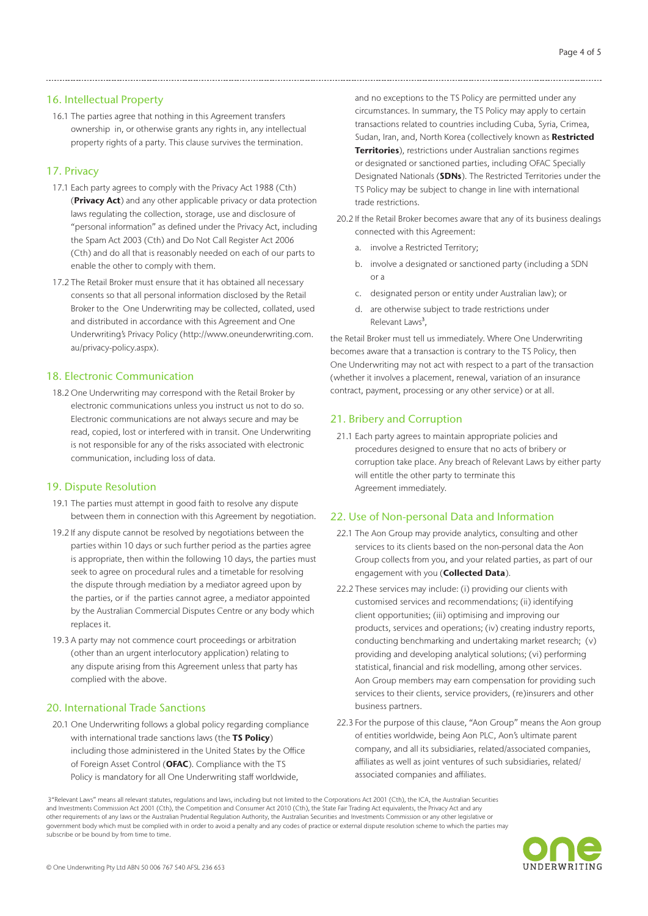## 16. Intellectual Property

16.1 The parties agree that nothing in this Agreement transfers ownership in, or otherwise grants any rights in, any intellectual property rights of a party. This clause survives the termination.

# 17. Privacy

- 17.1 Each party agrees to comply with the Privacy Act 1988 (Cth) (**Privacy Act**) and any other applicable privacy or data protection laws regulating the collection, storage, use and disclosure of "personal information" as defined under the Privacy Act, including the Spam Act 2003 (Cth) and Do Not Call Register Act 2006 (Cth) and do all that is reasonably needed on each of our parts to enable the other to comply with them.
- 17.2 The Retail Broker must ensure that it has obtained all necessary consents so that all personal information disclosed by the Retail Broker to the One Underwriting may be collected, collated, used and distributed in accordance with this Agreement and One Underwriting's Privacy Policy (http://www.oneunderwriting.com. au/privacy-policy.aspx).

## 18. Electronic Communication

18.2 One Underwriting may correspond with the Retail Broker by electronic communications unless you instruct us not to do so. Electronic communications are not always secure and may be read, copied, lost or interfered with in transit. One Underwriting is not responsible for any of the risks associated with electronic communication, including loss of data.

#### 19. Dispute Resolution

- 19.1 The parties must attempt in good faith to resolve any dispute between them in connection with this Agreement by negotiation.
- 19.2 If any dispute cannot be resolved by negotiations between the parties within 10 days or such further period as the parties agree is appropriate, then within the following 10 days, the parties must seek to agree on procedural rules and a timetable for resolving the dispute through mediation by a mediator agreed upon by the parties, or if the parties cannot agree, a mediator appointed by the Australian Commercial Disputes Centre or any body which replaces it.
- 19.3 A party may not commence court proceedings or arbitration (other than an urgent interlocutory application) relating to any dispute arising from this Agreement unless that party has complied with the above.

## 20. International Trade Sanctions

20.1 One Underwriting follows a global policy regarding compliance with international trade sanctions laws (the TS Policy) including those administered in the United States by the Office of Foreign Asset Control (OFAC). Compliance with the TS Policy is mandatory for all One Underwriting staff worldwide,

and no exceptions to the TS Policy are permitted under any circumstances. In summary, the TS Policy may apply to certain transactions related to countries including Cuba, Syria, Crimea, Sudan, Iran, and, North Korea (collectively known as Restricted Territories), restrictions under Australian sanctions regimes or designated or sanctioned parties, including OFAC Specially Designated Nationals (SDNs). The Restricted Territories under the TS Policy may be subject to change in line with international trade restrictions.

- 20.2 If the Retail Broker becomes aware that any of its business dealings connected with this Agreement:
	- a. involve a Restricted Territory;
	- b. involve a designated or sanctioned party (including a SDN or a
	- c. designated person or entity under Australian law); or
	- d. are otherwise subject to trade restrictions under Relevant Laws<sup>3</sup>.

the Retail Broker must tell us immediately. Where One Underwriting becomes aware that a transaction is contrary to the TS Policy, then One Underwriting may not act with respect to a part of the transaction (whether it involves a placement, renewal, variation of an insurance contract, payment, processing or any other service) or at all.

#### 21. Bribery and Corruption

21.1 Each party agrees to maintain appropriate policies and procedures designed to ensure that no acts of bribery or corruption take place. Any breach of Relevant Laws by either party will entitle the other party to terminate this Agreement immediately.

## 22. Use of Non-personal Data and Information

- 22.1 The Aon Group may provide analytics, consulting and other services to its clients based on the non-personal data the Aon Group collects from you, and your related parties, as part of our engagement with you (Collected Data).
- 22.2 These services may include: (i) providing our clients with customised services and recommendations; (ii) identifying client opportunities; (iii) optimising and improving our products, services and operations; (iv) creating industry reports, conducting benchmarking and undertaking market research; (v) providing and developing analytical solutions; (vi) performing statistical, financial and risk modelling, among other services. Aon Group members may earn compensation for providing such services to their clients, service providers, (re)insurers and other business partners.
- 22.3 For the purpose of this clause, "Aon Group" means the Aon group of entities worldwide, being Aon PLC, Aon's ultimate parent company, and all its subsidiaries, related/associated companies, affiliates as well as joint ventures of such subsidiaries, related/ associated companies and affiliates.

 3"Relevant Laws" means all relevant statutes, regulations and laws, including but not limited to the Corporations Act 2001 (Cth), the ICA, the Australian Securities and Investments Commission Act 2001 (Cth), the Competition and Consumer Act 2010 (Cth), the State Fair Trading Act equivalents, the Privacy Act and any other requirements of any laws or the Australian Prudential Regulation Authority, the Australian Securities and Investments Commission or any other legislative or government body which must be complied with in order to avoid a penalty and any codes of practice or external dispute resolution scheme to which the parties may subscribe or be bound by from time to time.

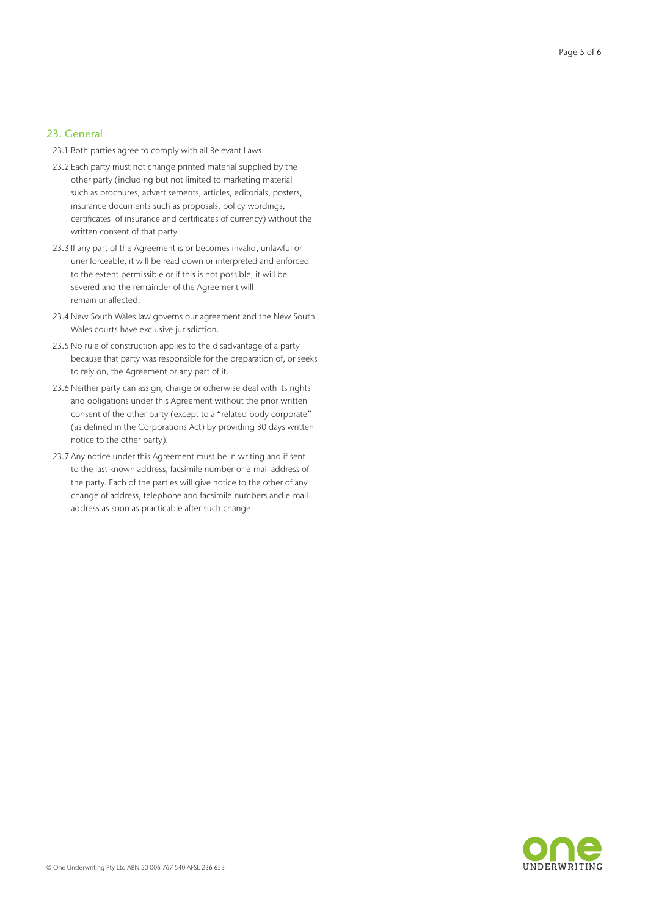#### 23. General

- 23.1 Both parties agree to comply with all Relevant Laws.
- 23.2 Each party must not change printed material supplied by the other party (including but not limited to marketing material such as brochures, advertisements, articles, editorials, posters, insurance documents such as proposals, policy wordings, certificates of insurance and certificates of currency) without the written consent of that party.

- 23.3 If any part of the Agreement is or becomes invalid, unlawful or unenforceable, it will be read down or interpreted and enforced to the extent permissible or if this is not possible, it will be severed and the remainder of the Agreement will remain unaffected.
- 23.4 New South Wales law governs our agreement and the New South Wales courts have exclusive jurisdiction.
- 23.5 No rule of construction applies to the disadvantage of a party because that party was responsible for the preparation of, or seeks to rely on, the Agreement or any part of it.
- 23.6 Neither party can assign, charge or otherwise deal with its rights and obligations under this Agreement without the prior written consent of the other party (except to a "related body corporate" (as defined in the Corporations Act) by providing 30 days written notice to the other party).
- 23.7 Any notice under this Agreement must be in writing and if sent to the last known address, facsimile number or e-mail address of the party. Each of the parties will give notice to the other of any change of address, telephone and facsimile numbers and e-mail address as soon as practicable after such change.